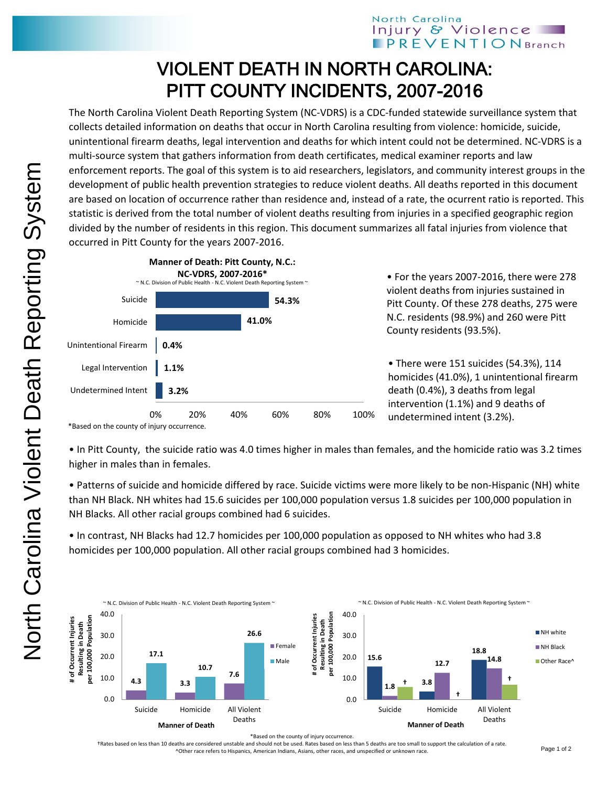## VIOLENT DEATH IN NORTH CAROLINA: PITT COUNTY INCIDENTS, 2007-2016

The North Carolina Violent Death Reporting System (NC-VDRS) is a CDC-funded statewide surveillance system that collects detailed information on deaths that occur in North Carolina resulting from violence: homicide, suicide, unintentional firearm deaths, legal intervention and deaths for which intent could not be determined. NC-VDRS is a multi-source system that gathers information from death certificates, medical examiner reports and law enforcement reports. The goal of this system is to aid researchers, legislators, and community interest groups in the development of public health prevention strategies to reduce violent deaths. All deaths reported in this document are based on location of occurrence rather than residence and, instead of a rate, the ocurrent ratio is reported. This statistic is derived from the total number of violent deaths resulting from injuries in a specified geographic region divided by the number of residents in this region. This document summarizes all fatal injuries from violence that occurred in Pitt County for the years 2007-2016.



• For the years 2007-2016, there were 278 violent deaths from injuries sustained in Pitt County. Of these 278 deaths, 275 were N.C. residents (98.9%) and 260 were Pitt County residents (93.5%).

• There were 151 suicides (54.3%), 114 homicides (41.0%), 1 unintentional firearm death (0.4%), 3 deaths from legal intervention (1.1%) and 9 deaths of undetermined intent (3.2%).

\*Based on the county of injury occurrence.

• In Pitt County, the suicide ratio was 4.0 times higher in males than females, and the homicide ratio was 3.2 times higher in males than in females.

• Patterns of suicide and homicide differed by race. Suicide victims were more likely to be non-Hispanic (NH) white than NH Black. NH whites had 15.6 suicides per 100,000 population versus 1.8 suicides per 100,000 population in NH Blacks. All other racial groups combined had 6 suicides.

• In contrast, NH Blacks had 12.7 homicides per 100,000 population as opposed to NH whites who had 3.8 homicides per 100,000 population. All other racial groups combined had 3 homicides.



\*Based on the county of injury occurrence.

†Rates based on less than 10 deaths are considered unstable and should not be used. Rates based on less than 5 deaths are too small to support the calculation of a rate. ^Other race refers to Hispanics, American Indians, Asians, other races, and unspecified or unknown race.